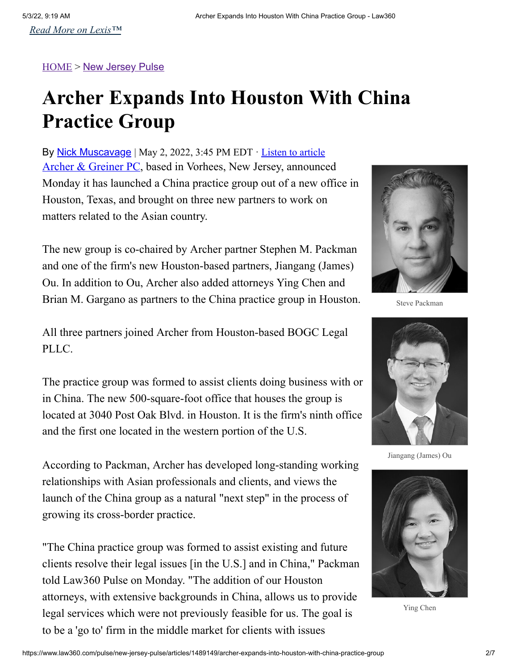## [HOME](https://www.law360.com/pulse) > [New Jersey Pulse](https://www.law360.com/pulse/new-jersey-pulse)

## **Archer Expands Into Houston With China Practice Group**

By Nick Muscavage | May 2, 2022, 3:45 PM EDT · Listen to article [Archer & Greiner PC](https://www.law360.com/firms/archer-attorneys-at-law), based in Vorhees, New Jersey, announced Monday it has launched a China practice group out of a new office in Houston, Texas, and brought on three new partners to work on matters related to the Asian country.

The new group is co-chaired by Archer partner Stephen M. Packman and one of the firm's new Houston-based partners, Jiangang (James) Ou. In addition to Ou, Archer also added attorneys Ying Chen and Brian M. Gargano as partners to the China practice group in Houston.

All three partners joined Archer from Houston-based BOGC Legal PLLC.

The practice group was formed to assist clients doing business with or in China. The new 500-square-foot office that houses the group is located at 3040 Post Oak Blvd. in Houston. It is the firm's ninth office and the first one located in the western portion of the U.S.

According to Packman, Archer has developed long-standing working relationships with Asian professionals and clients, and views the launch of the China group as a natural "next step" in the process of growing its cross-border practice.

"The China practice group was formed to assist existing and future clients resolve their legal issues [in the U.S.] and in China," Packman told Law360 Pulse on Monday. "The addition of our Houston attorneys, with extensive backgrounds in China, allows us to provide legal services which were not previously feasible for us. The goal is to be a 'go to' firm in the middle market for clients with issues



Steve Packman



Jiangang (James) Ou



Ying Chen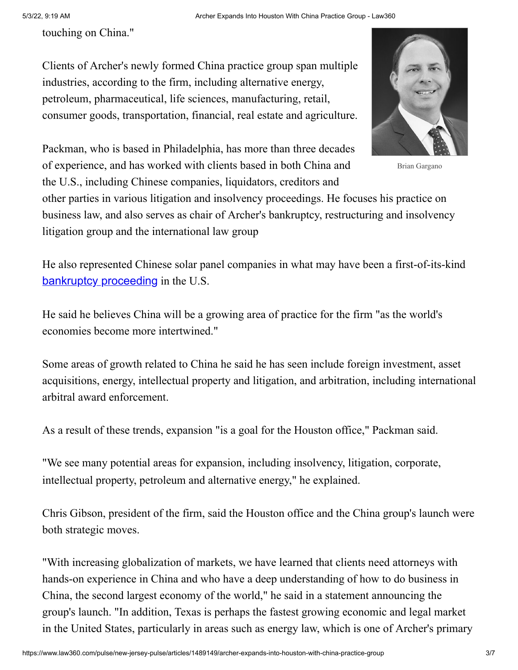touching on China."

Clients of Archer's newly formed China practice group span multiple industries, according to the firm, including alternative energy, petroleum, pharmaceutical, life sciences, manufacturing, retail, consumer goods, transportation, financial, real estate and agriculture.

Packman, who is based in Philadelphia, has more than three decades of experience, and has worked with clients based in both China and the U.S., including Chinese companies, liquidators, creditors and



Brian Gargano

other parties in various litigation and insolvency proceedings. He focuses his practice on business law, and also serves as chair of Archer's bankruptcy, restructuring and insolvency litigation group and the international law group

He also represented Chinese solar panel companies in what may have been a first-of-its-kind [bankruptcy proceeding](https://www.law360.com/pulse/articles/562684/4-chinese-solar-panel-cos-seek-novel-ch-15-protection) in the U.S.

He said he believes China will be a growing area of practice for the firm "as the world's economies become more intertwined."

Some areas of growth related to China he said he has seen include foreign investment, asset acquisitions, energy, intellectual property and litigation, and arbitration, including international arbitral award enforcement.

As a result of these trends, expansion "is a goal for the Houston office," Packman said.

"We see many potential areas for expansion, including insolvency, litigation, corporate, intellectual property, petroleum and alternative energy," he explained.

Chris Gibson, president of the firm, said the Houston office and the China group's launch were both strategic moves.

"With increasing globalization of markets, we have learned that clients need attorneys with hands-on experience in China and who have a deep understanding of how to do business in China, the second largest economy of the world," he said in a statement announcing the group's launch. "In addition, Texas is perhaps the fastest growing economic and legal market in the United States, particularly in areas such as energy law, which is one of Archer's primary